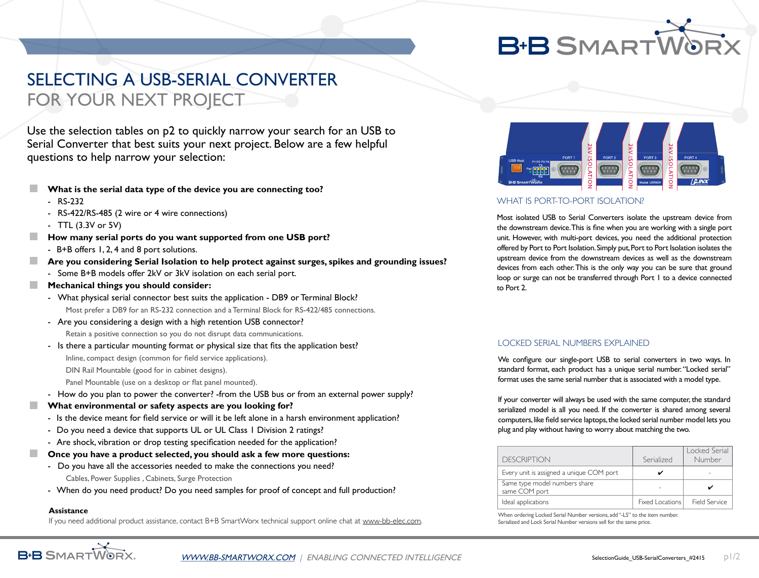# **B-B SMARTW**

# Selecting a USB-SERIAL CONVERTER for your next project

Use the selection tables on p2 to quickly narrow your search for an USB to Serial Converter that best suits your next project. Below are a few helpful questions to help narrow your selection:

- **What is the serial data type of the device you are connecting too?**
- RS-232
- RS-422/RS-485 (2 wire or 4 wire connections)
- TTL (3.3V or 5V)
- **How many serial ports do you want supported from one USB port?**
- B+B offers 1, 2, 4 and 8 port solutions.
- **Are you considering Serial Isolation to help protect against surges, spikes and grounding issues?**
- Some B+B models offer 2kV or 3kV isolation on each serial port.
- **Mechanical things you should consider:**
- What physical serial connector best suits the application DB9 or Terminal Block? Most prefer a DB9 for an RS-232 connection and a Terminal Block for RS-422/485 connections.
- Are you considering a design with a high retention USB connector? Retain a positive connection so you do not disrupt data communications.
- Is there a particular mounting format or physical size that fits the application best? Inline, compact design (common for field service applications). DIN Rail Mountable (good for in cabinet designs).
	- Panel Mountable (use on a desktop or flat panel mounted).
- How do you plan to power the converter? -from the USB bus or from an external power supply?
- **What environmental or safety aspects are you looking for?**
- Is the device meant for field service or will it be left alone in a harsh environment application?
- Do you need a device that supports UL or UL Class 1 Division 2 ratings?
- Are shock, vibration or drop testing specification needed for the application?
- **Once you have a product selected, you should ask a few more questions:**
- Do you have all the accessories needed to make the connections you need? Cables, Power Supplies , Cabinets, Surge Protection
- When do you need product? Do you need samples for proof of concept and full production?

#### **Assistance**

**B-B SMARTWOR** 

If you need additional product assistance, contact B+B SmartWorx technical support online chat at [www-bb-elec.com](http://www.bb-elec.com/).



#### WHAT IS PORT-TO-PORT ISOLATION?

Most isolated USB to Serial Converters isolate the upstream device from the downstream device.This is fine when you are working with a single port unit. However, with multi-port devices, you need the additional protection offered by Port to Port Isolation. Simply put, Port to Port Isolation isolates the upstream device from the downstream devices as well as the downstream devices from each other. This is the only way you can be sure that ground loop or surge can not be transferred through Port 1 to a device connected to Port 2.

#### LOCKED SERIAL NUMBERS EXPLAINED

We configure our single-port USB to serial converters in two ways. In standard format, each product has a unique serial number. "Locked serial" format uses the same serial number that is associated with a model type.

If your converter will always be used with the same computer, the standard serialized model is all you need. If the converter is shared among several computers, like field service laptops, the locked serial number model lets you plug and play without having to worry about matching the two.

| <b>DESCRIPTION</b>                             | Serialized      | Locked Serial<br>Number |
|------------------------------------------------|-----------------|-------------------------|
| Every unit is assigned a unique COM port       |                 |                         |
| Same type model numbers share<br>same COM port |                 |                         |
| Ideal applications                             | Fixed Locations | Field Service           |

When ordering Locked Serial Number versions, add "-LS" to the item number. Serialized and Lock Serial Number versions sell for the same price.